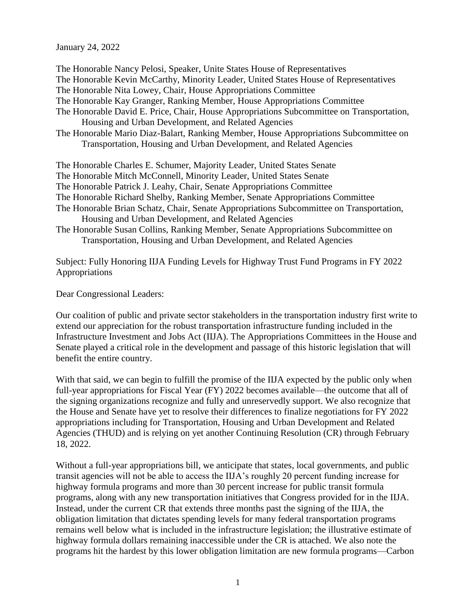## January 24, 2022

The Honorable Nancy Pelosi, Speaker, Unite States House of Representatives The Honorable Kevin McCarthy, Minority Leader, United States House of Representatives The Honorable Nita Lowey, Chair, House Appropriations Committee The Honorable Kay Granger, Ranking Member, House Appropriations Committee The Honorable David E. Price, Chair, House Appropriations Subcommittee on Transportation, Housing and Urban Development, and Related Agencies The Honorable Mario Diaz-Balart, Ranking Member, House Appropriations Subcommittee on Transportation, Housing and Urban Development, and Related Agencies The Honorable Charles E. Schumer, Majority Leader, United States Senate The Honorable Mitch McConnell, Minority Leader, United States Senate The Honorable Patrick J. Leahy, Chair, Senate Appropriations Committee The Honorable Richard Shelby, Ranking Member, Senate Appropriations Committee The Honorable Brian Schatz, Chair, Senate Appropriations Subcommittee on Transportation, Housing and Urban Development, and Related Agencies The Honorable Susan Collins, Ranking Member, Senate Appropriations Subcommittee on Transportation, Housing and Urban Development, and Related Agencies

Subject: Fully Honoring IIJA Funding Levels for Highway Trust Fund Programs in FY 2022 Appropriations

Dear Congressional Leaders:

Our coalition of public and private sector stakeholders in the transportation industry first write to extend our appreciation for the robust transportation infrastructure funding included in the Infrastructure Investment and Jobs Act (IIJA). The Appropriations Committees in the House and Senate played a critical role in the development and passage of this historic legislation that will benefit the entire country.

With that said, we can begin to fulfill the promise of the IIJA expected by the public only when full-year appropriations for Fiscal Year (FY) 2022 becomes available—the outcome that all of the signing organizations recognize and fully and unreservedly support. We also recognize that the House and Senate have yet to resolve their differences to finalize negotiations for FY 2022 appropriations including for Transportation, Housing and Urban Development and Related Agencies (THUD) and is relying on yet another Continuing Resolution (CR) through February 18, 2022.

Without a full-year appropriations bill, we anticipate that states, local governments, and public transit agencies will not be able to access the IIJA's roughly 20 percent funding increase for highway formula programs and more than 30 percent increase for public transit formula programs, along with any new transportation initiatives that Congress provided for in the IIJA. Instead, under the current CR that extends three months past the signing of the IIJA, the obligation limitation that dictates spending levels for many federal transportation programs remains well below what is included in the infrastructure legislation; the illustrative estimate of highway formula dollars remaining inaccessible under the CR is attached. We also note the programs hit the hardest by this lower obligation limitation are new formula programs—Carbon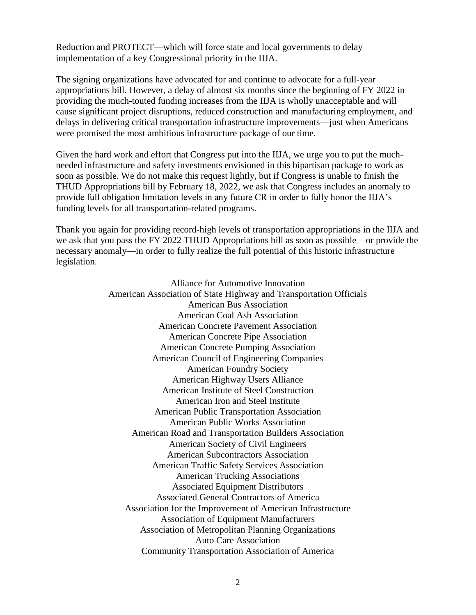Reduction and PROTECT—which will force state and local governments to delay implementation of a key Congressional priority in the IIJA.

The signing organizations have advocated for and continue to advocate for a full-year appropriations bill. However, a delay of almost six months since the beginning of FY 2022 in providing the much-touted funding increases from the IIJA is wholly unacceptable and will cause significant project disruptions, reduced construction and manufacturing employment, and delays in delivering critical transportation infrastructure improvements—just when Americans were promised the most ambitious infrastructure package of our time.

Given the hard work and effort that Congress put into the IIJA, we urge you to put the muchneeded infrastructure and safety investments envisioned in this bipartisan package to work as soon as possible. We do not make this request lightly, but if Congress is unable to finish the THUD Appropriations bill by February 18, 2022, we ask that Congress includes an anomaly to provide full obligation limitation levels in any future CR in order to fully honor the IIJA's funding levels for all transportation-related programs.

Thank you again for providing record-high levels of transportation appropriations in the IIJA and we ask that you pass the FY 2022 THUD Appropriations bill as soon as possible—or provide the necessary anomaly—in order to fully realize the full potential of this historic infrastructure legislation.

> Alliance for Automotive Innovation American Association of State Highway and Transportation Officials American Bus Association American Coal Ash Association American Concrete Pavement Association American Concrete Pipe Association American Concrete Pumping Association American Council of Engineering Companies American Foundry Society American Highway Users Alliance American Institute of Steel Construction American Iron and Steel Institute American Public Transportation Association American Public Works Association American Road and Transportation Builders Association American Society of Civil Engineers American Subcontractors Association American Traffic Safety Services Association American Trucking Associations Associated Equipment Distributors Associated General Contractors of America Association for the Improvement of American Infrastructure Association of Equipment Manufacturers Association of Metropolitan Planning Organizations Auto Care Association Community Transportation Association of America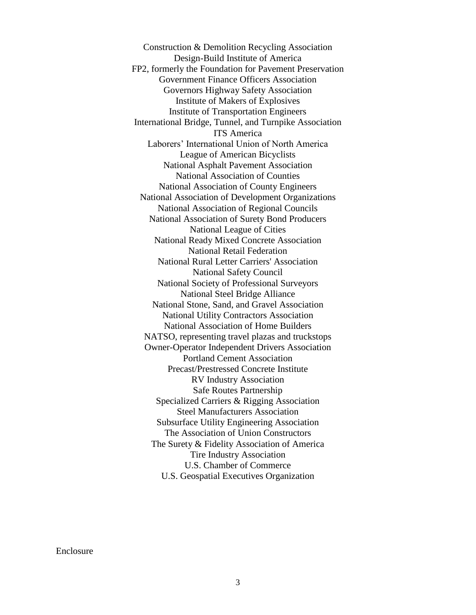Construction & Demolition Recycling Association Design-Build Institute of America FP2, formerly the Foundation for Pavement Preservation Government Finance Officers Association Governors Highway Safety Association Institute of Makers of Explosives Institute of Transportation Engineers International Bridge, Tunnel, and Turnpike Association ITS America Laborers' International Union of North America League of American Bicyclists National Asphalt Pavement Association National Association of Counties National Association of County Engineers National Association of Development Organizations National Association of Regional Councils National Association of Surety Bond Producers National League of Cities National Ready Mixed Concrete Association National Retail Federation National Rural Letter Carriers' Association National Safety Council National Society of Professional Surveyors National Steel Bridge Alliance National Stone, Sand, and Gravel Association National Utility Contractors Association National Association of Home Builders NATSO, representing travel plazas and truckstops Owner-Operator Independent Drivers Association Portland Cement Association Precast/Prestressed Concrete Institute RV Industry Association Safe Routes Partnership Specialized Carriers & Rigging Association Steel Manufacturers Association Subsurface Utility Engineering Association The Association of Union Constructors The Surety & Fidelity Association of America Tire Industry Association U.S. Chamber of Commerce U.S. Geospatial Executives Organization